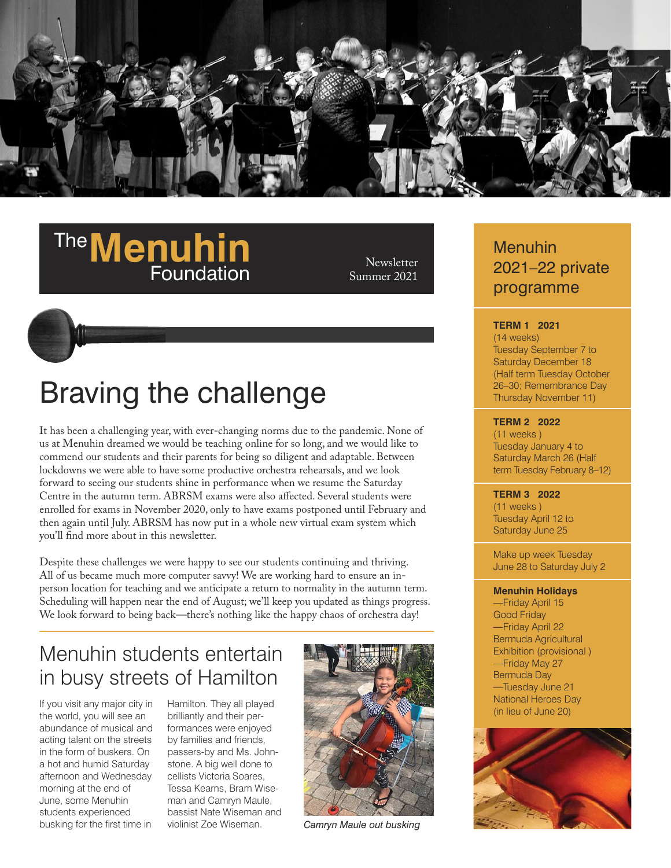

## **The Menuhin** Newsletter<br>**Foundation** Summer 2021

Summer 2021

## Braving the challenge

It has been a challenging year, with ever-changing norms due to the pandemic. None of us at Menuhin dreamed we would be teaching online for so long, and we would like to commend our students and their parents for being so diligent and adaptable. Between lockdowns we were able to have some productive orchestra rehearsals, and we look forward to seeing our students shine in performance when we resume the Saturday Centre in the autumn term. ABRSM exams were also affected. Several students were enrolled for exams in November 2020, only to have exams postponed until February and then again until July. ABRSM has now put in a whole new virtual exam system which you'll find more about in this newsletter.

Despite these challenges we were happy to see our students continuing and thriving. All of us became much more computer savvy! We are working hard to ensure an inperson location for teaching and we anticipate a return to normality in the autumn term. Scheduling will happen near the end of August; we'll keep you updated as things progress. We look forward to being back—there's nothing like the happy chaos of orchestra day!

## Menuhin students entertain in busy streets of Hamilton

If you visit any major city in the world, you will see an abundance of musical and acting talent on the streets in the form of buskers. On a hot and humid Saturday afternoon and Wednesday morning at the end of June, some Menuhin students experienced busking for the first time in

Hamilton. They all played brilliantly and their performances were enjoyed by families and friends, passers-by and Ms. Johnstone. A big well done to cellists Victoria Soares, Tessa Kearns, Bram Wiseman and Camryn Maule, bassist Nate Wiseman and violinist Zoe Wiseman.



*Camryn Maule out busking*

### Menuhin 2021–22 private programme

#### **TERM 1 2021**

(14 weeks) Tuesday September 7 to Saturday December 18 (Half term Tuesday October 26–30; Remembrance Day Thursday November 11)

#### **TERM 2 2022**

(11 weeks ) Tuesday January 4 to Saturday March 26 (Half term Tuesday February 8–12)

#### **TERM 3 2022**

(11 weeks ) Tuesday April 12 to Saturday June 25

Make up week Tuesday June 28 to Saturday July 2

#### **Menuhin Holidays**

—Friday April 15 Good Friday —Friday April 22 Bermuda Agricultural Exhibition (provisional ) —Friday May 27 Bermuda Day —Tuesday June 21 National Heroes Day (in lieu of June 20)

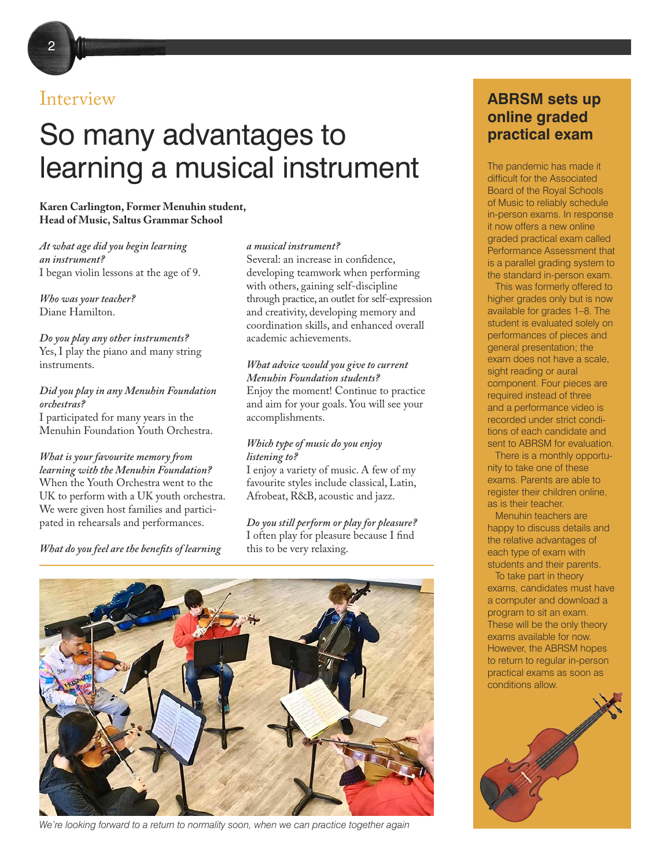## So many advantages to learning a musical instrument

#### **Karen Carlington, Former Menuhin student, Head of Music, Saltus Grammar School**

*At what age did you begin learning an instrument?* I began violin lessons at the age of 9.

*Who was your teacher?* Diane Hamilton.

*Do you play any other instruments?* Yes, I play the piano and many string instruments.

#### *Did you play in any Menuhin Foundation orchestras?*

I participated for many years in the Menuhin Foundation Youth Orchestra.

*What is your favourite memory from learning with the Menuhin Foundation?* When the Youth Orchestra went to the UK to perform with a UK youth orchestra. We were given host families and participated in rehearsals and performances.

*What do you feel are the benefits of learning*

#### *a musical instrument?*

Several: an increase in confidence, developing teamwork when performing with others, gaining self-discipline through practice, an outlet for self-expression and creativity, developing memory and coordination skills, and enhanced overall academic achievements.

*What advice would you give to current Menuhin Foundation students?* Enjoy the moment! Continue to practice and aim for your goals. You will see your accomplishments.

#### *Which type of music do you enjoy listening to?*

I enjoy a variety of music. A few of my favourite styles include classical, Latin, Afrobeat, R&B, acoustic and jazz.

*Do you still perform or play for pleasure?*  I often play for pleasure because I find this to be very relaxing.



*We're looking forward to a return to normality soon, when we can practice together again*

### Interview **ABRSM** sets up **online graded practical exam**

The pandemic has made it difficult for the Associated Board of the Royal Schools of Music to reliably schedule in-person exams. In response it now offers a new online graded practical exam called Performance Assessment that is a parallel grading system to the standard in-person exam.

 This was formerly offered to higher grades only but is now available for grades 1–8. The student is evaluated solely on performances of pieces and general presentation; the exam does not have a scale, sight reading or aural component. Four pieces are required instead of three and a performance video is recorded under strict conditions of each candidate and sent to ABRSM for evaluation.

 There is a monthly opportunity to take one of these exams. Parents are able to register their children online, as is their teacher.

 Menuhin teachers are happy to discuss details and the relative advantages of each type of exam with students and their parents.

 To take part in theory exams, candidates must have a computer and download a program to sit an exam. These will be the only theory exams available for now. However, the ABRSM hopes to return to regular in-person practical exams as soon as conditions allow.

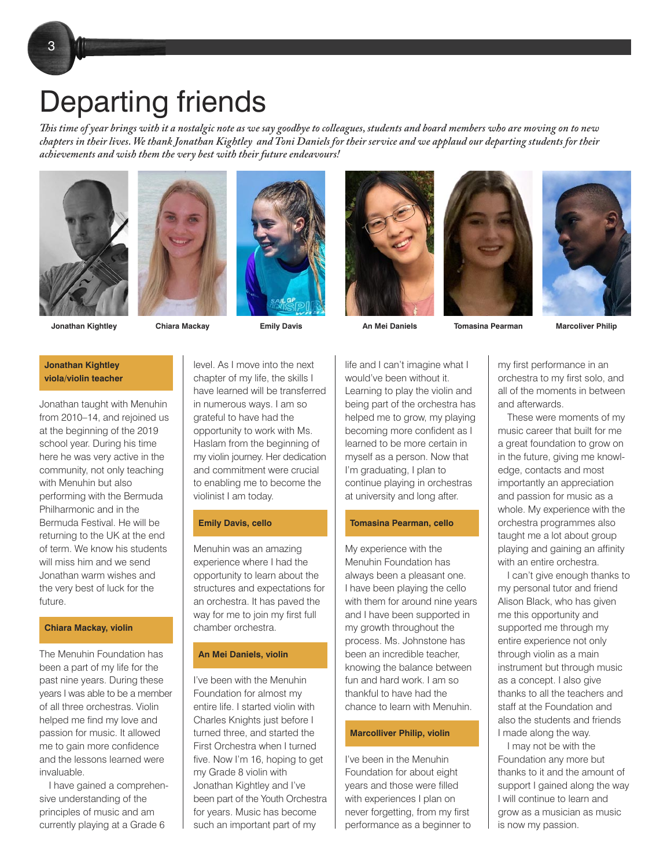## Departing friends

*This time of year brings with it a nostalgic note as we say goodbye to colleagues, students and board members who are moving on to new chapters in their lives. We thank Jonathan Kightley and Toni Daniels for their service and we applaud our departing students for their achievements and wish them the very best with their future endeavours!*













#### **Jonathan Kightley viola/violin teacher**

Jonathan taught with Menuhin from 2010–14, and rejoined us at the beginning of the 2019 school year. During his time here he was very active in the community, not only teaching with Menuhin but also performing with the Bermuda Philharmonic and in the Bermuda Festival. He will be returning to the UK at the end of term. We know his students will miss him and we send Jonathan warm wishes and the very best of luck for the future.

#### **Chiara Mackay, violin**

The Menuhin Foundation has been a part of my life for the past nine years. During these years I was able to be a member of all three orchestras. Violin helped me find my love and passion for music. It allowed me to gain more confidence and the lessons learned were invaluable.

 I have gained a comprehensive understanding of the principles of music and am currently playing at a Grade 6

level. As I move into the next chapter of my life, the skills I have learned will be transferred in numerous ways. I am so grateful to have had the opportunity to work with Ms. Haslam from the beginning of my violin journey. Her dedication and commitment were crucial to enabling me to become the violinist I am today.

#### **Emily Davis, cello**

Menuhin was an amazing experience where I had the opportunity to learn about the structures and expectations for an orchestra. It has paved the way for me to join my first full chamber orchestra.

#### **An Mei Daniels, violin**

I've been with the Menuhin Foundation for almost my entire life. I started violin with Charles Knights just before I turned three, and started the First Orchestra when I turned five. Now I'm 16, hoping to get my Grade 8 violin with Jonathan Kightley and I've been part of the Youth Orchestra for years. Music has become such an important part of my

life and I can't imagine what I would've been without it. Learning to play the violin and being part of the orchestra has helped me to grow, my playing becoming more confident as I learned to be more certain in myself as a person. Now that I'm graduating, I plan to continue playing in orchestras at university and long after.

#### **Tomasina Pearman, cello**

My experience with the Menuhin Foundation has always been a pleasant one. I have been playing the cello with them for around nine years and I have been supported in my growth throughout the process. Ms. Johnstone has been an incredible teacher, knowing the balance between fun and hard work. I am so thankful to have had the chance to learn with Menuhin.

#### **Marcolliver Philip, violin**

I've been in the Menuhin Foundation for about eight years and those were filled with experiences I plan on never forgetting, from my first performance as a beginner to my first performance in an orchestra to my first solo, and all of the moments in between and afterwards.

 These were moments of my music career that built for me a great foundation to grow on in the future, giving me knowledge, contacts and most importantly an appreciation and passion for music as a whole. My experience with the orchestra programmes also taught me a lot about group playing and gaining an affinity with an entire orchestra.

 I can't give enough thanks to my personal tutor and friend Alison Black, who has given me this opportunity and supported me through my entire experience not only through violin as a main instrument but through music as a concept. I also give thanks to all the teachers and staff at the Foundation and also the students and friends I made along the way.

 I may not be with the Foundation any more but thanks to it and the amount of support I gained along the way I will continue to learn and grow as a musician as music is now my passion.

3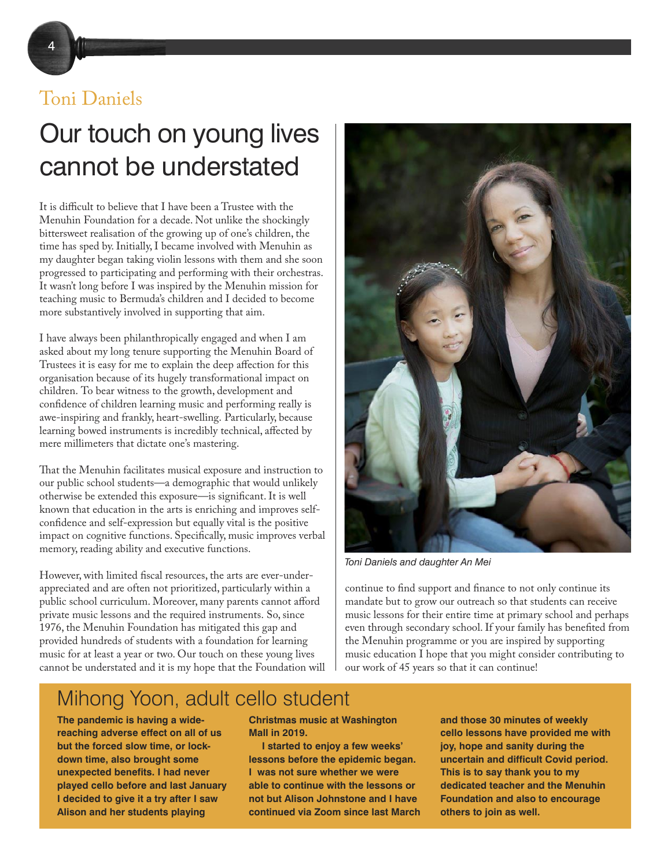### Toni Daniels

## Our touch on young lives cannot be understated

It is difficult to believe that I have been a Trustee with the Menuhin Foundation for a decade. Not unlike the shockingly bittersweet realisation of the growing up of one's children, the time has sped by. Initially, I became involved with Menuhin as my daughter began taking violin lessons with them and she soon progressed to participating and performing with their orchestras. It wasn't long before I was inspired by the Menuhin mission for teaching music to Bermuda's children and I decided to become more substantively involved in supporting that aim.

I have always been philanthropically engaged and when I am asked about my long tenure supporting the Menuhin Board of Trustees it is easy for me to explain the deep affection for this organisation because of its hugely transformational impact on children. To bear witness to the growth, development and confidence of children learning music and performing really is awe-inspiring and frankly, heart-swelling. Particularly, because learning bowed instruments is incredibly technical, affected by mere millimeters that dictate one's mastering.

That the Menuhin facilitates musical exposure and instruction to our public school students—a demographic that would unlikely otherwise be extended this exposure—is significant. It is well known that education in the arts is enriching and improves selfconfidence and self-expression but equally vital is the positive impact on cognitive functions. Specifically, music improves verbal memory, reading ability and executive functions.

However, with limited fiscal resources, the arts are ever-under appreciated and are often not prioritized, particularly within a public school curriculum. Moreover, many parents cannot afford private music lessons and the required instruments. So, since 1976, the Menuhin Foundation has mitigated this gap and provided hundreds of students with a foundation for learning music for at least a year or two. Our touch on these young lives cannot be understated and it is my hope that the Foundation will



*Toni Daniels and daughter An Mei*

continue to find support and finance to not only continue its mandate but to grow our outreach so that students can receive music lessons for their entire time at primary school and perhaps even through secondary school. If your family has benefited from the Menuhin programme or you are inspired by supporting music education I hope that you might consider contributing to our work of 45 years so that it can continue!

## Mihong Yoon, adult cello student

**The pandemic is having a widereaching adverse effect on all of us but the forced slow time, or lockdown time, also brought some unexpected benefits. I had never played cello before and last January I decided to give it a try after I saw Alison and her students playing**

**Christmas music at Washington Mall in 2019.** 

 **I started to enjoy a few weeks' lessons before the epidemic began. I was not sure whether we were able to continue with the lessons or not but Alison Johnstone and I have continued via Zoom since last March** **and those 30 minutes of weekly cello lessons have provided me with joy, hope and sanity during the uncertain and difficult Covid period. This is to say thank you to my dedicated teacher and the Menuhin Foundation and also to encourage others to join as well.**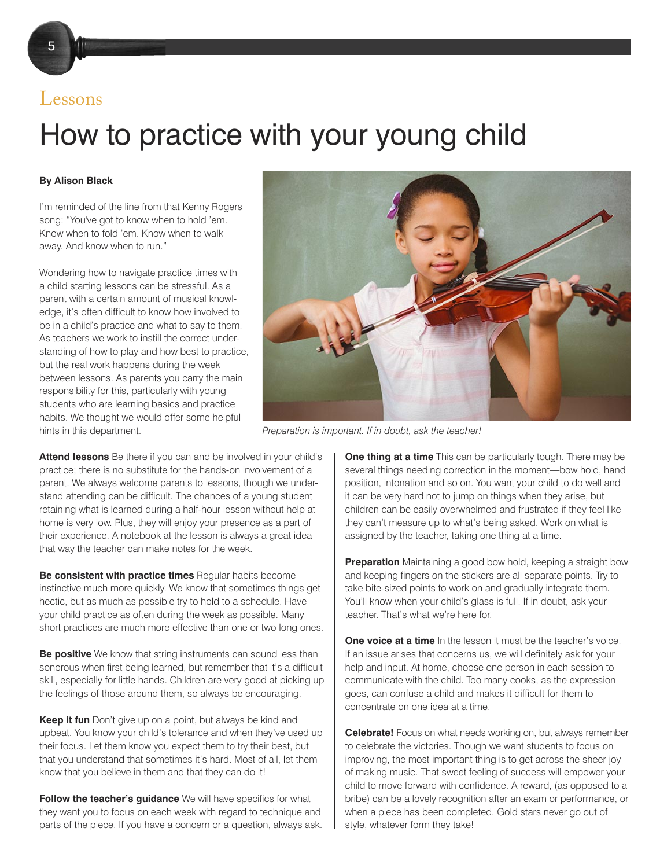### Lessons

## How to practice with your young child

#### **By Alison Black**

I'm reminded of the line from that Kenny Rogers song: "You've got to know when to hold 'em. Know when to fold 'em. Know when to walk away. And know when to run."

Wondering how to navigate practice times with a child starting lessons can be stressful. As a parent with a certain amount of musical knowledge, it's often difficult to know how involved to be in a child's practice and what to say to them. As teachers we work to instill the correct understanding of how to play and how best to practice, but the real work happens during the week between lessons. As parents you carry the main responsibility for this, particularly with young students who are learning basics and practice habits. We thought we would offer some helpful hints in this department.



*Preparation is important. If in doubt, ask the teacher!*

**Attend lessons** Be there if you can and be involved in your child's practice; there is no substitute for the hands-on involvement of a parent. We always welcome parents to lessons, though we understand attending can be difficult. The chances of a young student retaining what is learned during a half-hour lesson without help at home is very low. Plus, they will enjoy your presence as a part of their experience. A notebook at the lesson is always a great idea that way the teacher can make notes for the week.

**Be consistent with practice times** Regular habits become instinctive much more quickly. We know that sometimes things get hectic, but as much as possible try to hold to a schedule. Have your child practice as often during the week as possible. Many short practices are much more effective than one or two long ones.

**Be positive** We know that string instruments can sound less than sonorous when first being learned, but remember that it's a difficult skill, especially for little hands. Children are very good at picking up the feelings of those around them, so always be encouraging.

**Keep it fun** Don't give up on a point, but always be kind and upbeat. You know your child's tolerance and when they've used up their focus. Let them know you expect them to try their best, but that you understand that sometimes it's hard. Most of all, let them know that you believe in them and that they can do it!

**Follow the teacher's guidance** We will have specifics for what they want you to focus on each week with regard to technique and parts of the piece. If you have a concern or a question, always ask.

**One thing at a time** This can be particularly tough. There may be several things needing correction in the moment—bow hold, hand position, intonation and so on. You want your child to do well and it can be very hard not to jump on things when they arise, but children can be easily overwhelmed and frustrated if they feel like they can't measure up to what's being asked. Work on what is assigned by the teacher, taking one thing at a time.

**Preparation** Maintaining a good bow hold, keeping a straight bow and keeping fingers on the stickers are all separate points. Try to take bite-sized points to work on and gradually integrate them. You'll know when your child's glass is full. If in doubt, ask your teacher. That's what we're here for.

**One voice at a time** In the lesson it must be the teacher's voice. If an issue arises that concerns us, we will definitely ask for your help and input. At home, choose one person in each session to communicate with the child. Too many cooks, as the expression goes, can confuse a child and makes it difficult for them to concentrate on one idea at a time.

**Celebrate!** Focus on what needs working on, but always remember to celebrate the victories. Though we want students to focus on improving, the most important thing is to get across the sheer joy of making music. That sweet feeling of success will empower your child to move forward with confidence. A reward, (as opposed to a bribe) can be a lovely recognition after an exam or performance, or when a piece has been completed. Gold stars never go out of style, whatever form they take!